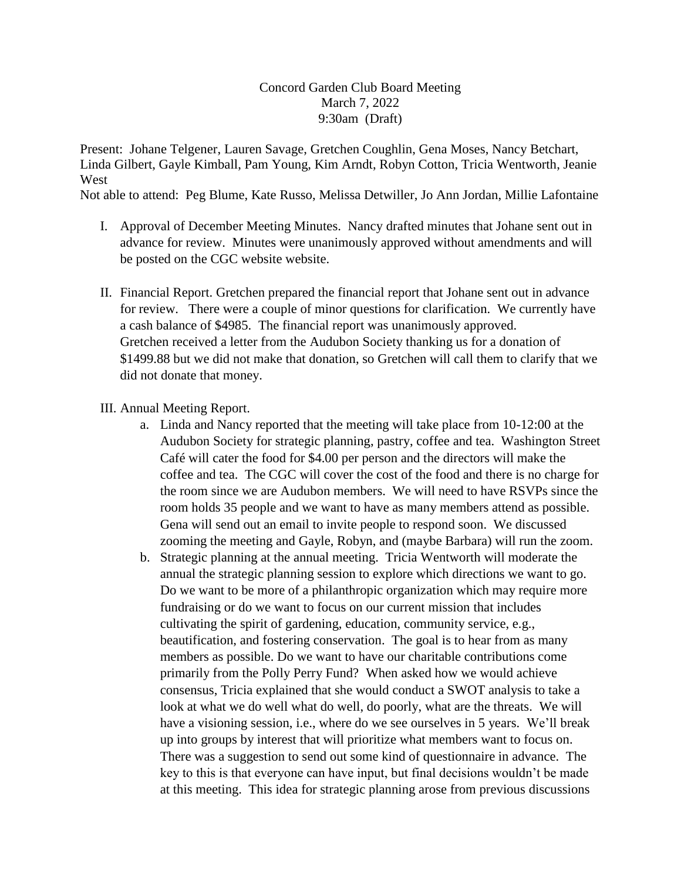## Concord Garden Club Board Meeting March 7, 2022 9:30am (Draft)

Present: Johane Telgener, Lauren Savage, Gretchen Coughlin, Gena Moses, Nancy Betchart, Linda Gilbert, Gayle Kimball, Pam Young, Kim Arndt, Robyn Cotton, Tricia Wentworth, Jeanie **West** 

Not able to attend: Peg Blume, Kate Russo, Melissa Detwiller, Jo Ann Jordan, Millie Lafontaine

- I. Approval of December Meeting Minutes. Nancy drafted minutes that Johane sent out in advance for review. Minutes were unanimously approved without amendments and will be posted on the CGC website website.
- II. Financial Report. Gretchen prepared the financial report that Johane sent out in advance for review. There were a couple of minor questions for clarification. We currently have a cash balance of \$4985. The financial report was unanimously approved. Gretchen received a letter from the Audubon Society thanking us for a donation of \$1499.88 but we did not make that donation, so Gretchen will call them to clarify that we did not donate that money.

## III. Annual Meeting Report.

- a. Linda and Nancy reported that the meeting will take place from 10-12:00 at the Audubon Society for strategic planning, pastry, coffee and tea. Washington Street Café will cater the food for \$4.00 per person and the directors will make the coffee and tea. The CGC will cover the cost of the food and there is no charge for the room since we are Audubon members. We will need to have RSVPs since the room holds 35 people and we want to have as many members attend as possible. Gena will send out an email to invite people to respond soon. We discussed zooming the meeting and Gayle, Robyn, and (maybe Barbara) will run the zoom.
- b. Strategic planning at the annual meeting. Tricia Wentworth will moderate the annual the strategic planning session to explore which directions we want to go. Do we want to be more of a philanthropic organization which may require more fundraising or do we want to focus on our current mission that includes cultivating the spirit of gardening, education, community service, e.g., beautification, and fostering conservation. The goal is to hear from as many members as possible. Do we want to have our charitable contributions come primarily from the Polly Perry Fund? When asked how we would achieve consensus, Tricia explained that she would conduct a SWOT analysis to take a look at what we do well what do well, do poorly, what are the threats. We will have a visioning session, i.e., where do we see ourselves in 5 years. We'll break up into groups by interest that will prioritize what members want to focus on. There was a suggestion to send out some kind of questionnaire in advance. The key to this is that everyone can have input, but final decisions wouldn't be made at this meeting. This idea for strategic planning arose from previous discussions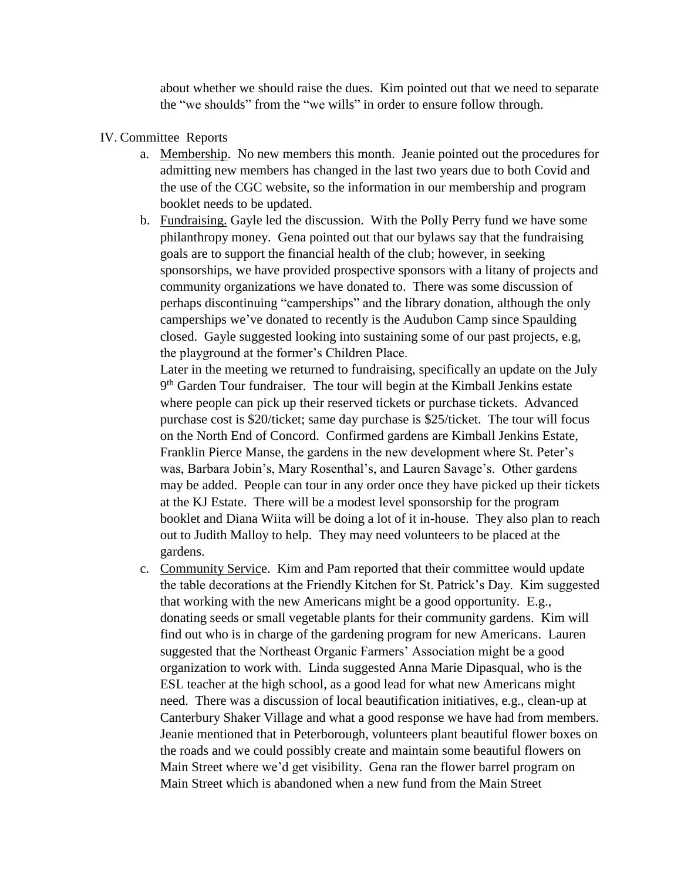about whether we should raise the dues. Kim pointed out that we need to separate the "we shoulds" from the "we wills" in order to ensure follow through.

## IV. Committee Reports

- a. Membership. No new members this month. Jeanie pointed out the procedures for admitting new members has changed in the last two years due to both Covid and the use of the CGC website, so the information in our membership and program booklet needs to be updated.
- b. Fundraising. Gayle led the discussion. With the Polly Perry fund we have some philanthropy money. Gena pointed out that our bylaws say that the fundraising goals are to support the financial health of the club; however, in seeking sponsorships, we have provided prospective sponsors with a litany of projects and community organizations we have donated to. There was some discussion of perhaps discontinuing "camperships" and the library donation, although the only camperships we've donated to recently is the Audubon Camp since Spaulding closed. Gayle suggested looking into sustaining some of our past projects, e.g, the playground at the former's Children Place.

Later in the meeting we returned to fundraising, specifically an update on the July 9<sup>th</sup> Garden Tour fundraiser. The tour will begin at the Kimball Jenkins estate where people can pick up their reserved tickets or purchase tickets. Advanced purchase cost is \$20/ticket; same day purchase is \$25/ticket. The tour will focus on the North End of Concord. Confirmed gardens are Kimball Jenkins Estate, Franklin Pierce Manse, the gardens in the new development where St. Peter's was, Barbara Jobin's, Mary Rosenthal's, and Lauren Savage's. Other gardens may be added. People can tour in any order once they have picked up their tickets at the KJ Estate. There will be a modest level sponsorship for the program booklet and Diana Wiita will be doing a lot of it in-house. They also plan to reach out to Judith Malloy to help. They may need volunteers to be placed at the gardens.

c. Community Service. Kim and Pam reported that their committee would update the table decorations at the Friendly Kitchen for St. Patrick's Day. Kim suggested that working with the new Americans might be a good opportunity. E.g., donating seeds or small vegetable plants for their community gardens. Kim will find out who is in charge of the gardening program for new Americans. Lauren suggested that the Northeast Organic Farmers' Association might be a good organization to work with. Linda suggested Anna Marie Dipasqual, who is the ESL teacher at the high school, as a good lead for what new Americans might need. There was a discussion of local beautification initiatives, e.g., clean-up at Canterbury Shaker Village and what a good response we have had from members. Jeanie mentioned that in Peterborough, volunteers plant beautiful flower boxes on the roads and we could possibly create and maintain some beautiful flowers on Main Street where we'd get visibility. Gena ran the flower barrel program on Main Street which is abandoned when a new fund from the Main Street